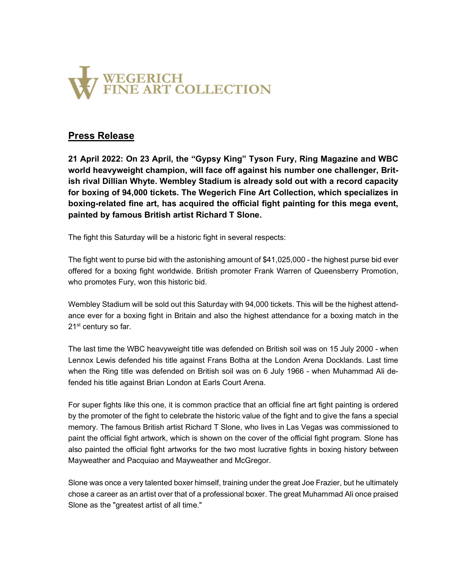

## Press Release

21 April 2022: On 23 April, the "Gypsy King" Tyson Fury, Ring Magazine and WBC world heavyweight champion, will face off against his number one challenger, British rival Dillian Whyte. Wembley Stadium is already sold out with a record capacity for boxing of 94,000 tickets. The Wegerich Fine Art Collection, which specializes in boxing-related fine art, has acquired the official fight painting for this mega event, painted by famous British artist Richard T Slone.

The fight this Saturday will be a historic fight in several respects:

The fight went to purse bid with the astonishing amount of \$41,025,000 - the highest purse bid ever offered for a boxing fight worldwide. British promoter Frank Warren of Queensberry Promotion, who promotes Fury, won this historic bid.

Wembley Stadium will be sold out this Saturday with 94,000 tickets. This will be the highest attendance ever for a boxing fight in Britain and also the highest attendance for a boxing match in the 21<sup>st</sup> century so far.

The last time the WBC heavyweight title was defended on British soil was on 15 July 2000 - when Lennox Lewis defended his title against Frans Botha at the London Arena Docklands. Last time when the Ring title was defended on British soil was on 6 July 1966 - when Muhammad Ali defended his title against Brian London at Earls Court Arena.

For super fights like this one, it is common practice that an official fine art fight painting is ordered by the promoter of the fight to celebrate the historic value of the fight and to give the fans a special memory. The famous British artist Richard T Slone, who lives in Las Vegas was commissioned to paint the official fight artwork, which is shown on the cover of the official fight program. Slone has also painted the official fight artworks for the two most lucrative fights in boxing history between Mayweather and Pacquiao and Mayweather and McGregor.

Slone was once a very talented boxer himself, training under the great Joe Frazier, but he ultimately chose a career as an artist over that of a professional boxer. The great Muhammad Ali once praised Slone as the "greatest artist of all time."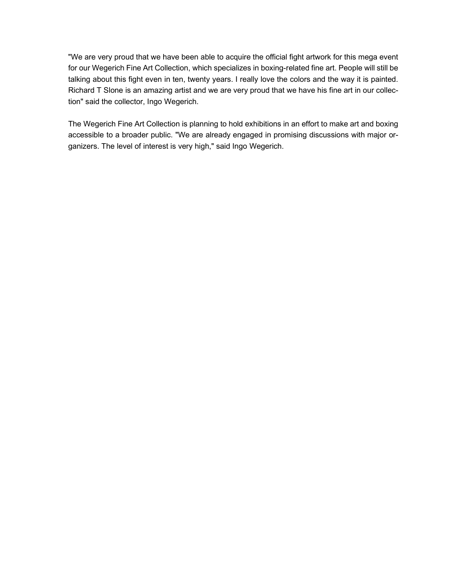"We are very proud that we have been able to acquire the official fight artwork for this mega event for our Wegerich Fine Art Collection, which specializes in boxing-related fine art. People will still be talking about this fight even in ten, twenty years. I really love the colors and the way it is painted. Richard T Slone is an amazing artist and we are very proud that we have his fine art in our collection" said the collector, Ingo Wegerich.

The Wegerich Fine Art Collection is planning to hold exhibitions in an effort to make art and boxing accessible to a broader public. "We are already engaged in promising discussions with major organizers. The level of interest is very high," said Ingo Wegerich.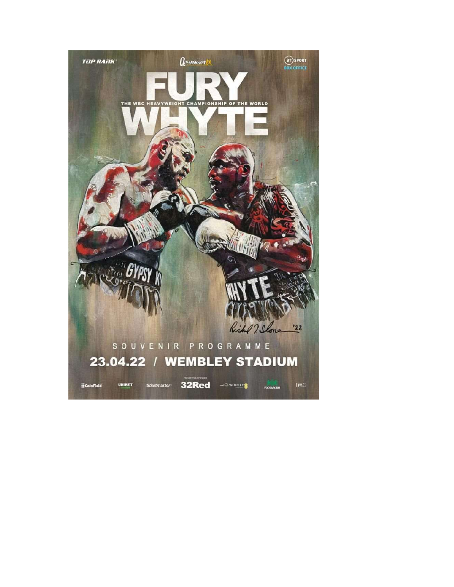